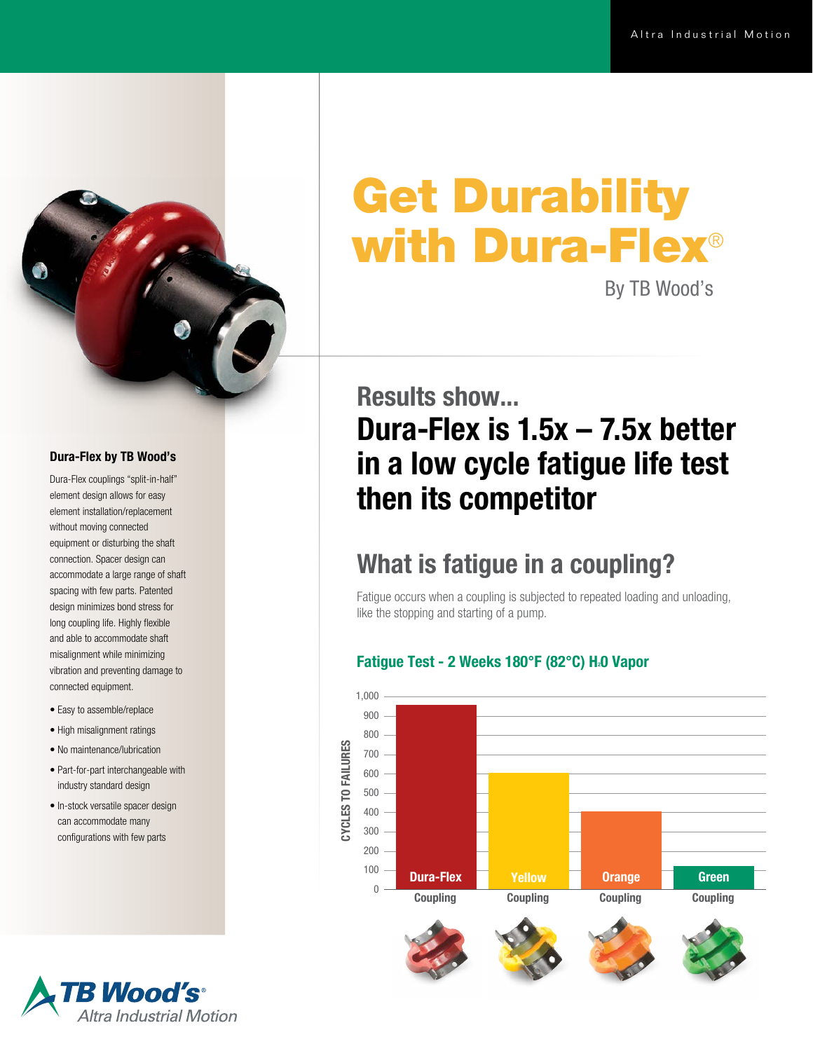

#### Dura-Flex by TB Wood's

Dura-Flex couplings "split-in-half" element design allows for easy element installation/replacement without moving connected equipment or disturbing the shaft connection. Spacer design can accommodate a large range of shaft spacing with few parts. Patented design minimizes bond stress for long coupling life. Highly flexible and able to accommodate shaft misalignment while minimizing vibration and preventing damage to connected equipment.

- Easy to assemble/replace
- High misalignment ratings
- No maintenance/lubrication
- Part-for-part interchangeable with industry standard design
- In-stock versatile spacer design can accommodate many configurations with few parts

# Get Durability with Dura-Flex®

By TB Wood's

### Results show... Dura-Flex is 1.5x – 7.5x better in a low cycle fatigue life test then its competitor

### What is fatigue in a coupling?

Fatigue occurs when a coupling is subjected to repeated loading and unloading, like the stopping and starting of a pump.

#### Fatigue Test - 2 Weeks 180°F (82°C) H<sub>2</sub>0 Vapor